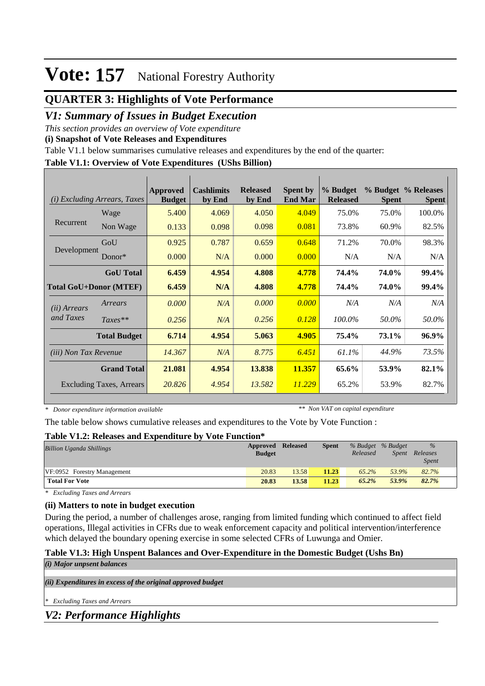## **QUARTER 3: Highlights of Vote Performance**

## *V1: Summary of Issues in Budget Execution*

*This section provides an overview of Vote expenditure* 

**(i) Snapshot of Vote Releases and Expenditures**

Table V1.1 below summarises cumulative releases and expenditures by the end of the quarter:

### **Table V1.1: Overview of Vote Expenditures (UShs Billion)**

| (i)                           | <i>Excluding Arrears, Taxes</i> | Approved<br><b>Budget</b> | <b>Cashlimits</b><br>by End | <b>Released</b><br>by End | <b>Spent by</b><br><b>End Mar</b> | % Budget<br><b>Released</b> | <b>Spent</b> | % Budget % Releases<br><b>Spent</b> |
|-------------------------------|---------------------------------|---------------------------|-----------------------------|---------------------------|-----------------------------------|-----------------------------|--------------|-------------------------------------|
|                               | Wage                            | 5.400                     | 4.069                       | 4.050                     | 4.049                             | 75.0%                       | 75.0%        | 100.0%                              |
| Recurrent                     | Non Wage                        | 0.133                     | 0.098                       | 0.098                     | 0.081                             | 73.8%                       | 60.9%        | 82.5%                               |
| Development                   | GoU                             | 0.925                     | 0.787                       | 0.659                     | 0.648                             | 71.2%                       | 70.0%        | 98.3%                               |
|                               | $Donor*$                        | 0.000                     | N/A                         | 0.000                     | 0.000                             | N/A                         | N/A          | N/A                                 |
|                               | <b>GoU</b> Total                | 6.459                     | 4.954                       | 4.808                     | 4.778                             | 74.4%                       | 74.0%        | 99.4%                               |
| <b>Total GoU+Donor (MTEF)</b> |                                 | 6.459                     | N/A                         | 4.808                     | 4.778                             | 74.4%                       | 74.0%        | 99.4%                               |
| ( <i>ii</i> ) Arrears         | Arrears                         | 0.000                     | N/A                         | 0.000                     | 0.000                             | N/A                         | N/A          | N/A                                 |
| and Taxes                     | $Taxes**$                       | 0.256                     | N/A                         | 0.256                     | 0.128                             | 100.0%                      | 50.0%        | 50.0%                               |
|                               | <b>Total Budget</b>             | 6.714                     | 4.954                       | 5.063                     | 4.905                             | 75.4%                       | 73.1%        | 96.9%                               |
| <i>(iii)</i> Non Tax Revenue  |                                 | 14.367                    | N/A                         | 8.775                     | 6.451                             | 61.1%                       | 44.9%        | 73.5%                               |
|                               | <b>Grand Total</b>              | 21.081                    | 4.954                       | 13.838                    | 11.357                            | 65.6%                       | 53.9%        | 82.1%                               |
|                               | <b>Excluding Taxes, Arrears</b> | 20.826                    | 4.954                       | 13.582                    | 11.229                            | 65.2%                       | 53.9%        | 82.7%                               |

*\* Donor expenditure information available*

*\*\* Non VAT on capital expenditure*

The table below shows cumulative releases and expenditures to the Vote by Vote Function :

#### **Table V1.2: Releases and Expenditure by Vote Function\***

| <b>Billion Uganda Shillings</b> | Approved Released<br><b>Budget</b> |       | <b>Spent</b> | % Budget % Budget<br>Released | Spent | $\%$<br>Releases<br><i>Spent</i> |  |
|---------------------------------|------------------------------------|-------|--------------|-------------------------------|-------|----------------------------------|--|
| VF:0952 Forestry Management     | 20.83                              | 13.58 | 11.23        | 65.2%                         | 53.9% | 82.7%                            |  |
| <b>Total For Vote</b>           | 20.83                              | 13.58 | 11.23        | $65.2\%$                      | 53.9% | 82.7%                            |  |

*\* Excluding Taxes and Arrears*

### **(ii) Matters to note in budget execution**

During the period, a number of challenges arose, ranging from limited funding which continued to affect field operations, Illegal activities in CFRs due to weak enforcement capacity and political intervention/interference which delayed the boundary opening exercise in some selected CFRs of Luwunga and Omier.

#### **Table V1.3: High Unspent Balances and Over-Expenditure in the Domestic Budget (Ushs Bn)** *(i) Major unpsent balances*

*(ii) Expenditures in excess of the original approved budget*

*\* Excluding Taxes and Arrears*

*V2: Performance Highlights*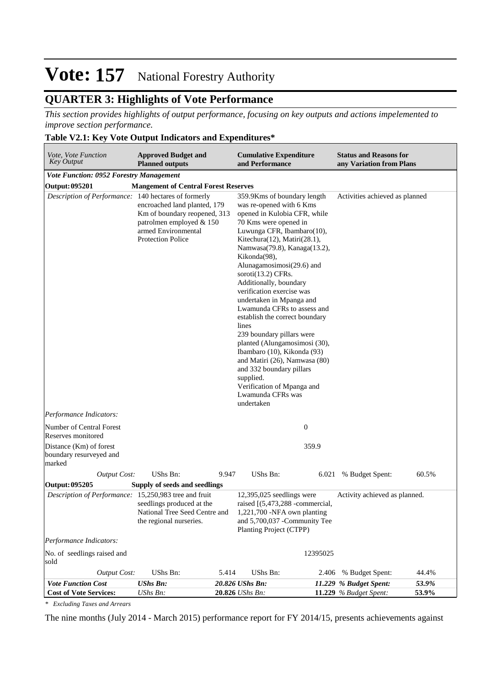## **QUARTER 3: Highlights of Vote Performance**

*This section provides highlights of output performance, focusing on key outputs and actions impelemented to improve section performance.*

#### **Table V2.1: Key Vote Output Indicators and Expenditures\***

| Vote, Vote Function<br><b>Key Output</b>                     | <b>Approved Budget and</b><br><b>Planned outputs</b>                                                                                        |       | <b>Cumulative Expenditure</b><br><b>Status and Reasons for</b><br>and Performance<br>any Variation from Plans                                                                                                                                                                                                                                                                                                                                                                                                                                                                                                                                                                                                               |          |                               |       |  |  |
|--------------------------------------------------------------|---------------------------------------------------------------------------------------------------------------------------------------------|-------|-----------------------------------------------------------------------------------------------------------------------------------------------------------------------------------------------------------------------------------------------------------------------------------------------------------------------------------------------------------------------------------------------------------------------------------------------------------------------------------------------------------------------------------------------------------------------------------------------------------------------------------------------------------------------------------------------------------------------------|----------|-------------------------------|-------|--|--|
| <b>Vote Function: 0952 Forestry Management</b>               |                                                                                                                                             |       |                                                                                                                                                                                                                                                                                                                                                                                                                                                                                                                                                                                                                                                                                                                             |          |                               |       |  |  |
| Output: 095201                                               | <b>Mangement of Central Forest Reserves</b>                                                                                                 |       |                                                                                                                                                                                                                                                                                                                                                                                                                                                                                                                                                                                                                                                                                                                             |          |                               |       |  |  |
| Description of Performance: 140 hectares of formerly         | encroached land planted, 179<br>Km of boundary reopened, 313<br>patrolmen employed & 150<br>armed Environmental<br><b>Protection Police</b> |       | 359.9Kms of boundary length<br>Activities achieved as planned<br>was re-opened with 6 Kms<br>opened in Kulobia CFR, while<br>70 Kms were opened in<br>Luwunga CFR, Ibambaro(10),<br>Kitechura(12), Matiri(28.1),<br>Namwasa(79.8), Kanaga(13.2),<br>Kikonda(98),<br>Alunagamosimosi(29.6) and<br>soroti $(13.2)$ CFRs.<br>Additionally, boundary<br>verification exercise was<br>undertaken in Mpanga and<br>Lwamunda CFRs to assess and<br>establish the correct boundary<br>lines<br>239 boundary pillars were<br>planted (Alungamosimosi (30),<br>Ibambaro (10), Kikonda (93)<br>and Matiri (26), Namwasa (80)<br>and 332 boundary pillars<br>supplied.<br>Verification of Mpanga and<br>Lwamunda CFRs was<br>undertaken |          |                               |       |  |  |
| Performance Indicators:                                      |                                                                                                                                             |       |                                                                                                                                                                                                                                                                                                                                                                                                                                                                                                                                                                                                                                                                                                                             |          |                               |       |  |  |
| Number of Central Forest<br>Reserves monitored               |                                                                                                                                             |       | $\boldsymbol{0}$                                                                                                                                                                                                                                                                                                                                                                                                                                                                                                                                                                                                                                                                                                            |          |                               |       |  |  |
| Distance (Km) of forest<br>boundary resurveyed and<br>marked |                                                                                                                                             |       |                                                                                                                                                                                                                                                                                                                                                                                                                                                                                                                                                                                                                                                                                                                             | 359.9    |                               |       |  |  |
| <b>Output Cost:</b>                                          | UShs Bn:                                                                                                                                    | 9.947 | <b>UShs Bn:</b>                                                                                                                                                                                                                                                                                                                                                                                                                                                                                                                                                                                                                                                                                                             |          | 6.021 % Budget Spent:         | 60.5% |  |  |
| Output: 095205                                               | Supply of seeds and seedlings                                                                                                               |       |                                                                                                                                                                                                                                                                                                                                                                                                                                                                                                                                                                                                                                                                                                                             |          |                               |       |  |  |
| Description of Performance: 15,250,983 tree and fruit        | seedlings produced at the<br>National Tree Seed Centre and<br>the regional nurseries.                                                       |       | $12,395,025$ seedlings were<br>raised $[(5,473,288 - commercial,$<br>1,221,700 -NFA own planting<br>and 5,700,037 -Community Tee<br>Planting Project (CTPP)                                                                                                                                                                                                                                                                                                                                                                                                                                                                                                                                                                 |          | Activity achieved as planned. |       |  |  |
| Performance Indicators:                                      |                                                                                                                                             |       |                                                                                                                                                                                                                                                                                                                                                                                                                                                                                                                                                                                                                                                                                                                             |          |                               |       |  |  |
| No. of seedlings raised and<br>sold                          |                                                                                                                                             |       |                                                                                                                                                                                                                                                                                                                                                                                                                                                                                                                                                                                                                                                                                                                             | 12395025 |                               |       |  |  |
| <b>Output Cost:</b>                                          | UShs Bn:                                                                                                                                    | 5.414 | UShs Bn:                                                                                                                                                                                                                                                                                                                                                                                                                                                                                                                                                                                                                                                                                                                    | 2.406    | % Budget Spent:               | 44.4% |  |  |
| <b>Vote Function Cost</b>                                    | <b>UShs Bn:</b>                                                                                                                             |       | 20.826 UShs Bn:                                                                                                                                                                                                                                                                                                                                                                                                                                                                                                                                                                                                                                                                                                             |          | 11.229 % Budget Spent:        | 53.9% |  |  |
| <b>Cost of Vote Services:</b>                                | UShs Bn:                                                                                                                                    |       | 20.826 UShs Bn:                                                                                                                                                                                                                                                                                                                                                                                                                                                                                                                                                                                                                                                                                                             |          | 11.229 % Budget Spent:        | 53.9% |  |  |

*\* Excluding Taxes and Arrears*

The nine months (July 2014 - March 2015) performance report for FY 2014/15, presents achievements against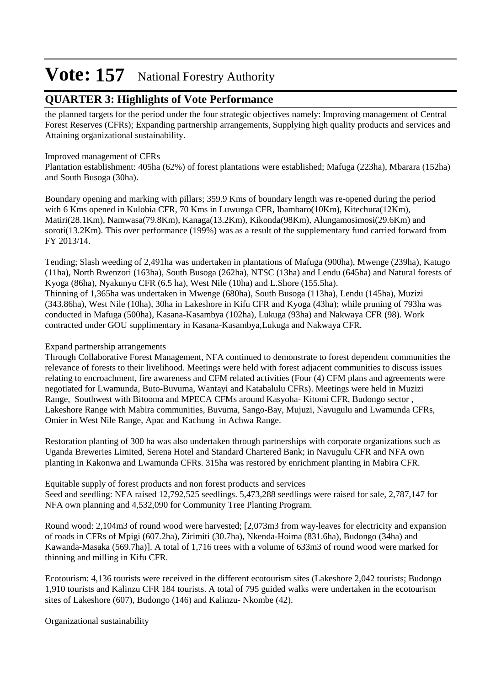## **QUARTER 3: Highlights of Vote Performance**

the planned targets for the period under the four strategic objectives namely: Improving management of Central Forest Reserves (CFRs); Expanding partnership arrangements, Supplying high quality products and services and Attaining organizational sustainability.

### Improved management of CFRs

Plantation establishment: 405ha (62%) of forest plantations were established; Mafuga (223ha), Mbarara (152ha) and South Busoga (30ha).

Boundary opening and marking with pillars; 359.9 Kms of boundary length was re-opened during the period with 6 Kms opened in Kulobia CFR, 70 Kms in Luwunga CFR, Ibambaro(10Km), Kitechura(12Km), Matiri(28.1Km), Namwasa(79.8Km), Kanaga(13.2Km), Kikonda(98Km), Alungamosimosi(29.6Km) and soroti(13.2Km). This over performance (199%) was as a result of the supplementary fund carried forward from FY 2013/14.

Tending; Slash weeding of 2,491ha was undertaken in plantations of Mafuga (900ha), Mwenge (239ha), Katugo (11ha), North Rwenzori (163ha), South Busoga (262ha), NTSC (13ha) and Lendu (645ha) and Natural forests of Kyoga (86ha), Nyakunyu CFR (6.5 ha), West Nile (10ha) and L.Shore (155.5ha). Thinning of 1,365ha was undertaken in Mwenge (680ha), South Busoga (113ha), Lendu (145ha), Muzizi (343.86ha), West Nile (10ha), 30ha in Lakeshore in Kifu CFR and Kyoga (43ha); while pruning of 793ha was conducted in Mafuga (500ha), Kasana-Kasambya (102ha), Lukuga (93ha) and Nakwaya CFR (98). Work contracted under GOU supplimentary in Kasana-Kasambya,Lukuga and Nakwaya CFR.

## Expand partnership arrangements

Through Collaborative Forest Management, NFA continued to demonstrate to forest dependent communities the relevance of forests to their livelihood. Meetings were held with forest adjacent communities to discuss issues relating to encroachment, fire awareness and CFM related activities (Four (4) CFM plans and agreements were negotiated for Lwamunda, Buto-Buvuma, Wantayi and Katabalulu CFRs). Meetings were held in Muzizi Range, Southwest with Bitooma and MPECA CFMs around Kasyoha- Kitomi CFR, Budongo sector , Lakeshore Range with Mabira communities, Buvuma, Sango-Bay, Mujuzi, Navugulu and Lwamunda CFRs, Omier in West Nile Range, Apac and Kachung in Achwa Range.

Restoration planting of 300 ha was also undertaken through partnerships with corporate organizations such as Uganda Breweries Limited, Serena Hotel and Standard Chartered Bank; in Navugulu CFR and NFA own planting in Kakonwa and Lwamunda CFRs. 315ha was restored by enrichment planting in Mabira CFR.

Equitable supply of forest products and non forest products and services Seed and seedling: NFA raised 12,792,525 seedlings. 5,473,288 seedlings were raised for sale, 2,787,147 for NFA own planning and 4,532,090 for Community Tree Planting Program.

Round wood: 2,104m3 of round wood were harvested; [2,073m3 from way-leaves for electricity and expansion of roads in CFRs of Mpigi (607.2ha), Zirimiti (30.7ha), Nkenda-Hoima (831.6ha), Budongo (34ha) and Kawanda-Masaka (569.7ha)]. A total of 1,716 trees with a volume of 633m3 of round wood were marked for thinning and milling in Kifu CFR.

Ecotourism: 4,136 tourists were received in the different ecotourism sites (Lakeshore 2,042 tourists; Budongo 1,910 tourists and Kalinzu CFR 184 tourists. A total of 795 guided walks were undertaken in the ecotourism sites of Lakeshore (607), Budongo (146) and Kalinzu- Nkombe (42).

Organizational sustainability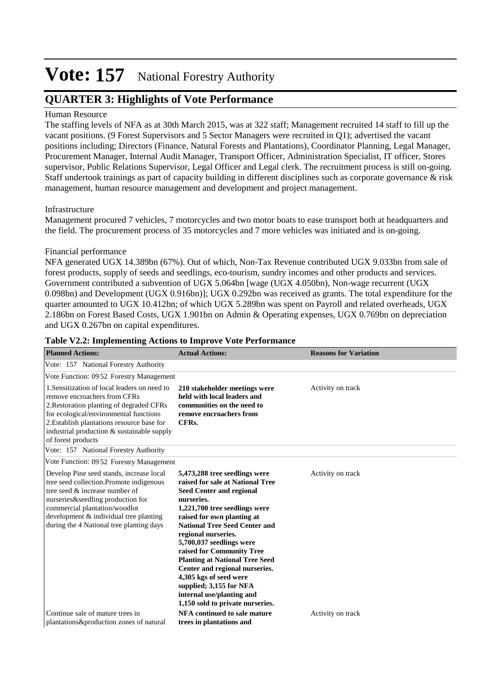## **QUARTER 3: Highlights of Vote Performance**

### Human Resource

The staffing levels of NFA as at 30th March 2015, was at 322 staff; Management recruited 14 staff to fill up the vacant positions. (9 Forest Supervisors and 5 Sector Managers were recruited in Q1); advertised the vacant positions including; Directors (Finance, Natural Forests and Plantations), Coordinator Planning, Legal Manager, Procurement Manager, Internal Audit Manager, Transport Officer, Administration Specialist, IT officer, Stores supervisor, Public Relations Supervisor, Legal Officer and Legal clerk. The recruitment process is still on-going. Staff undertook trainings as part of capacity building in different disciplines such as corporate governance & risk management, human resource management and development and project management.

### Infrastructure

Management procured 7 vehicles, 7 motorcycles and two motor boats to ease transport both at headquarters and the field. The procurement process of 35 motorcycles and 7 more vehicles was initiated and is on-going.

#### Financial performance

NFA generated UGX 14.389bn (67%). Out of which, Non-Tax Revenue contributed UGX 9.033bn from sale of forest products, supply of seeds and seedlings, eco-tourism, sundry incomes and other products and services. Government contributed a subvention of UGX 5.064bn [wage (UGX 4.050bn), Non-wage recurrent (UGX 0.098bn) and Development (UGX 0.916bn)]; UGX 0.292bn was received as grants. The total expenditure for the quarter amounted to UGX 10.412bn; of which UGX 5.289bn was spent on Payroll and related overheads, UGX 2.186bn on Forest Based Costs, UGX 1.901bn on Admin & Operating expenses, UGX 0.769bn on depreciation and UGX 0.267bn on capital expenditures.

| <b>Planned Actions:</b>                                                                                                                                                                                                                                                                                                          | <b>Actual Actions:</b>                                                                                                                                                                                                                                                                                                                                                                                                                                                                                     | <b>Reasons for Variation</b> |
|----------------------------------------------------------------------------------------------------------------------------------------------------------------------------------------------------------------------------------------------------------------------------------------------------------------------------------|------------------------------------------------------------------------------------------------------------------------------------------------------------------------------------------------------------------------------------------------------------------------------------------------------------------------------------------------------------------------------------------------------------------------------------------------------------------------------------------------------------|------------------------------|
| Vote: 157 National Forestry Authority                                                                                                                                                                                                                                                                                            |                                                                                                                                                                                                                                                                                                                                                                                                                                                                                                            |                              |
| Vote Function: 09.52 Forestry Management<br>1. Sensitization of local leaders on need to<br>remove encroachers from CFRs<br>2. Restoration planting of degraded CFRs<br>for ecological/environmental functions<br>2. Establish plantations resource base for<br>industrial production & sustainable supply<br>of forest products | 210 stakeholder meetings were<br>held with local leaders and<br>communities on the need to<br>remove encroachers from<br>CFRs.                                                                                                                                                                                                                                                                                                                                                                             | Activity on track            |
| Vote: 157 National Forestry Authority                                                                                                                                                                                                                                                                                            |                                                                                                                                                                                                                                                                                                                                                                                                                                                                                                            |                              |
| Vote Function: 09.52 Forestry Management                                                                                                                                                                                                                                                                                         |                                                                                                                                                                                                                                                                                                                                                                                                                                                                                                            |                              |
| Develop Pine seed stands, increase local<br>tree seed collection.Promote indigenous<br>tree seed & increase number of<br>nurseries&seedling production for<br>commercial plantation/woodlot<br>development & individual tree planting<br>during the 4 National tree planting days                                                | 5,473,288 tree seedlings were<br>raised for sale at National Tree<br><b>Seed Center and regional</b><br>nurseries.<br>1,221,700 tree seedlings were<br>raised for own planting at<br><b>National Tree Seed Center and</b><br>regional nurseries.<br>5,700,037 seedlings were<br>raised for Community Tree<br><b>Planting at National Tree Seed</b><br>Center and regional nurseries.<br>4,305 kgs of seed were<br>supplied; 3,155 for NFA<br>internal use/planting and<br>1,150 sold to private nurseries. | Activity on track            |
| Continue sale of mature trees in<br>plantations&production zones of natural                                                                                                                                                                                                                                                      | NFA continued to sale mature<br>trees in plantations and                                                                                                                                                                                                                                                                                                                                                                                                                                                   | Activity on track            |

#### **Table V2.2: Implementing Actions to Improve Vote Performance**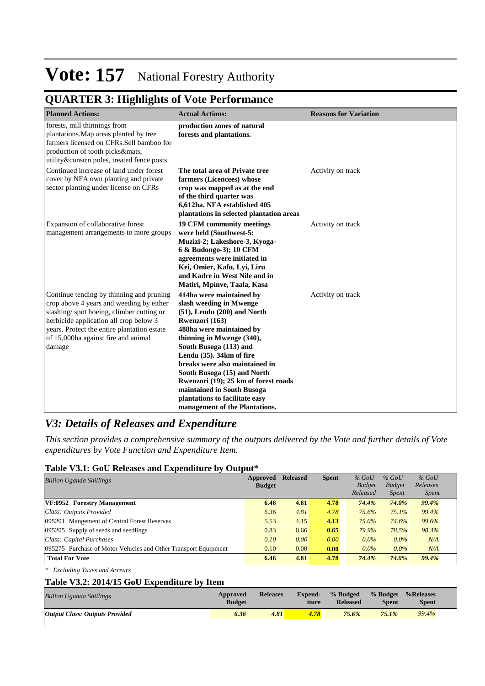## **QUARTER 3: Highlights of Vote Performance**

| <b>Planned Actions:</b>                                                                                                                                                                                                                                                    | <b>Actual Actions:</b>                                                                                                                                                                                                                                                                                                                                                                                                              | <b>Reasons for Variation</b> |
|----------------------------------------------------------------------------------------------------------------------------------------------------------------------------------------------------------------------------------------------------------------------------|-------------------------------------------------------------------------------------------------------------------------------------------------------------------------------------------------------------------------------------------------------------------------------------------------------------------------------------------------------------------------------------------------------------------------------------|------------------------------|
| forests, mill thinnings from<br>plantations. Map areas planted by tree<br>farmers licensed on CFRs.Sell bamboo for<br>production of tooth picks&mats,<br>utility&constrn poles, treated fence posts                                                                        | production zones of natural<br>forests and plantations.                                                                                                                                                                                                                                                                                                                                                                             |                              |
| Continued increase of land under forest<br>cover by NFA own planting and private<br>sector planting under license on CFRs                                                                                                                                                  | The total area of Private tree<br>farmers (Licencees) whose<br>crop was mapped as at the end<br>of the third quarter was<br>6,612ha. NFA established 405<br>plantations in selected plantation areas                                                                                                                                                                                                                                | Activity on track            |
| Expansion of collaborative forest<br>management arrangements to more groups                                                                                                                                                                                                | 19 CFM community meetings<br>were held (Southwest-5:<br>Muzizi-2; Lakeshore-3, Kyoga-<br>6 & Budongo-3); 10 CFM<br>agreements were initiated in<br>Kei, Omier, Kafu, Lyi, Liru<br>and Kadre in West Nile and in<br>Matiri, Mpinve, Taala, Kasa                                                                                                                                                                                      | Activity on track            |
| Continue tending by thinning and pruning<br>crop above 4 years and weeding by either<br>slashing/spot hoeing, climber cutting or<br>herbicide application all crop below 3<br>years. Protect the entire plantation estate<br>of 15,000ha against fire and animal<br>damage | 414ha were maintained by<br>slash weeding in Mwenge<br>$(51)$ , Lendu $(200)$ and North<br>Rwenzori (163)<br>488ha were maintained by<br>thinning in Mwenge (340),<br>South Busoga (113) and<br>Lendu (35). 34km of fire<br>breaks were also maintained in<br>South Busoga (15) and North<br>Rwenzori (19); 25 km of forest roads<br>maintained in South Busoga<br>plantations to facilitate easy<br>management of the Plantations. | Activity on track            |

## *V3: Details of Releases and Expenditure*

*This section provides a comprehensive summary of the outputs delivered by the Vote and further details of Vote expenditures by Vote Function and Expenditure Item.*

#### **Table V3.1: GoU Releases and Expenditure by Output\***

| Billion Uganda Shillings                                        | Approved<br><b>Budget</b> | <b>Released</b> | <b>Spent</b> | $%$ GoU<br><b>Budget</b><br>Released | $%$ GoU<br><b>Budget</b><br><i>Spent</i> | $%$ GoU<br>Releases<br><i>Spent</i> |
|-----------------------------------------------------------------|---------------------------|-----------------|--------------|--------------------------------------|------------------------------------------|-------------------------------------|
| VF:0952 Forestry Management                                     | 6.46                      | 4.81            | 4.78         | 74.4%                                | 74.0%                                    | 99.4%                               |
| Class: Outputs Provided                                         | 6.36                      | 4.81            | 4.78         | 75.6%                                | 75.1%                                    | 99.4%                               |
| 095201 Mangement of Central Forest Reserves                     | 5.53                      | 4.15            | 4.13         | 75.0%                                | 74.6%                                    | 99.6%                               |
| 095205 Supply of seeds and seedlings                            | 0.83                      | 0.66            | 0.65         | 79.9%                                | 78.5%                                    | 98.3%                               |
| Class: Capital Purchases                                        | 0.10                      | 0.00            | 0.00         | $0.0\%$                              | $0.0\%$                                  | N/A                                 |
| 095275 Purchase of Motor Vehicles and Other Transport Equipment | 0.10                      | 0.00            | 0.00         | $0.0\%$                              | $0.0\%$                                  | N/A                                 |
| <b>Total For Vote</b>                                           | 6.46                      | 4.81            | 4.78         | 74.4%                                | 74.0%                                    | 99.4%                               |

*\* Excluding Taxes and Arrears*

#### **Table V3.2: 2014/15 GoU Expenditure by Item**

| <b>Billion Uganda Shillings</b>       | Approved<br><b>Budget</b> | <b>Releases</b> | <b>Expend-</b><br>iture | % Budged<br><b>Released</b> | <b>Spent</b> | % Budget % Releases<br><b>Spent</b> |
|---------------------------------------|---------------------------|-----------------|-------------------------|-----------------------------|--------------|-------------------------------------|
| <b>Output Class: Outputs Provided</b> | 6.36                      | 4.81            | 4.78                    | 75.6%                       | $75.1\%$     | 99.4%                               |
|                                       |                           |                 |                         |                             |              |                                     |